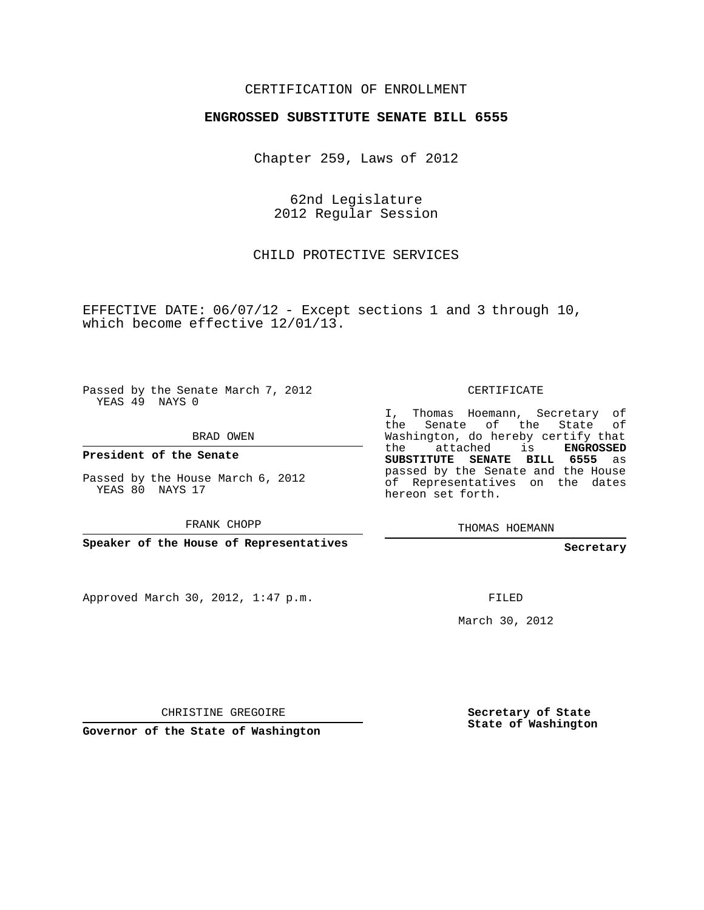#### CERTIFICATION OF ENROLLMENT

#### **ENGROSSED SUBSTITUTE SENATE BILL 6555**

Chapter 259, Laws of 2012

62nd Legislature 2012 Regular Session

CHILD PROTECTIVE SERVICES

EFFECTIVE DATE: 06/07/12 - Except sections 1 and 3 through 10, which become effective 12/01/13.

Passed by the Senate March 7, 2012 YEAS 49 NAYS 0

BRAD OWEN

**President of the Senate**

Passed by the House March 6, 2012 YEAS 80 NAYS 17

FRANK CHOPP

**Speaker of the House of Representatives**

Approved March 30, 2012, 1:47 p.m.

CERTIFICATE

I, Thomas Hoemann, Secretary of the Senate of the State of Washington, do hereby certify that the attached is **ENGROSSED SUBSTITUTE SENATE BILL 6555** as passed by the Senate and the House of Representatives on the dates hereon set forth.

THOMAS HOEMANN

**Secretary**

FILED

March 30, 2012

CHRISTINE GREGOIRE

**Governor of the State of Washington**

**Secretary of State State of Washington**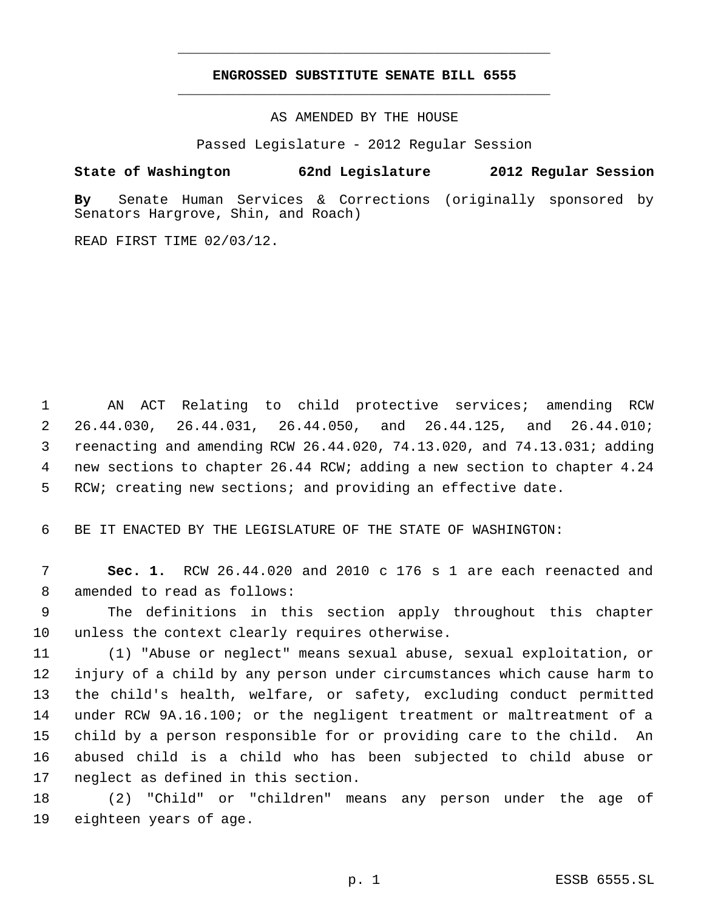## **ENGROSSED SUBSTITUTE SENATE BILL 6555** \_\_\_\_\_\_\_\_\_\_\_\_\_\_\_\_\_\_\_\_\_\_\_\_\_\_\_\_\_\_\_\_\_\_\_\_\_\_\_\_\_\_\_\_\_

\_\_\_\_\_\_\_\_\_\_\_\_\_\_\_\_\_\_\_\_\_\_\_\_\_\_\_\_\_\_\_\_\_\_\_\_\_\_\_\_\_\_\_\_\_

AS AMENDED BY THE HOUSE

Passed Legislature - 2012 Regular Session

## **State of Washington 62nd Legislature 2012 Regular Session**

**By** Senate Human Services & Corrections (originally sponsored by Senators Hargrove, Shin, and Roach)

READ FIRST TIME 02/03/12.

 AN ACT Relating to child protective services; amending RCW 26.44.030, 26.44.031, 26.44.050, and 26.44.125, and 26.44.010; reenacting and amending RCW 26.44.020, 74.13.020, and 74.13.031; adding new sections to chapter 26.44 RCW; adding a new section to chapter 4.24 RCW; creating new sections; and providing an effective date.

BE IT ENACTED BY THE LEGISLATURE OF THE STATE OF WASHINGTON:

 **Sec. 1.** RCW 26.44.020 and 2010 c 176 s 1 are each reenacted and amended to read as follows:

 The definitions in this section apply throughout this chapter unless the context clearly requires otherwise.

 (1) "Abuse or neglect" means sexual abuse, sexual exploitation, or injury of a child by any person under circumstances which cause harm to the child's health, welfare, or safety, excluding conduct permitted under RCW 9A.16.100; or the negligent treatment or maltreatment of a child by a person responsible for or providing care to the child. An abused child is a child who has been subjected to child abuse or neglect as defined in this section.

 (2) "Child" or "children" means any person under the age of eighteen years of age.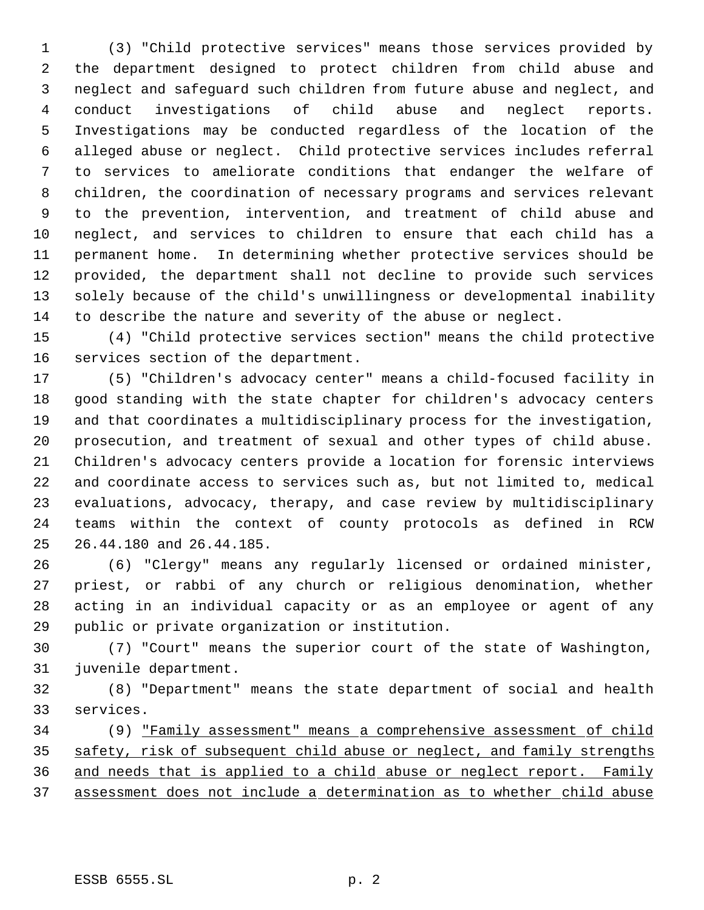(3) "Child protective services" means those services provided by the department designed to protect children from child abuse and neglect and safeguard such children from future abuse and neglect, and conduct investigations of child abuse and neglect reports. Investigations may be conducted regardless of the location of the alleged abuse or neglect. Child protective services includes referral to services to ameliorate conditions that endanger the welfare of children, the coordination of necessary programs and services relevant to the prevention, intervention, and treatment of child abuse and neglect, and services to children to ensure that each child has a permanent home. In determining whether protective services should be provided, the department shall not decline to provide such services solely because of the child's unwillingness or developmental inability to describe the nature and severity of the abuse or neglect.

 (4) "Child protective services section" means the child protective services section of the department.

 (5) "Children's advocacy center" means a child-focused facility in good standing with the state chapter for children's advocacy centers and that coordinates a multidisciplinary process for the investigation, prosecution, and treatment of sexual and other types of child abuse. Children's advocacy centers provide a location for forensic interviews and coordinate access to services such as, but not limited to, medical evaluations, advocacy, therapy, and case review by multidisciplinary teams within the context of county protocols as defined in RCW 26.44.180 and 26.44.185.

 (6) "Clergy" means any regularly licensed or ordained minister, priest, or rabbi of any church or religious denomination, whether acting in an individual capacity or as an employee or agent of any public or private organization or institution.

 (7) "Court" means the superior court of the state of Washington, juvenile department.

 (8) "Department" means the state department of social and health services.

 (9) "Family assessment" means a comprehensive assessment of child 35 safety, risk of subsequent child abuse or neglect, and family strengths and needs that is applied to a child abuse or neglect report. Family assessment does not include a determination as to whether child abuse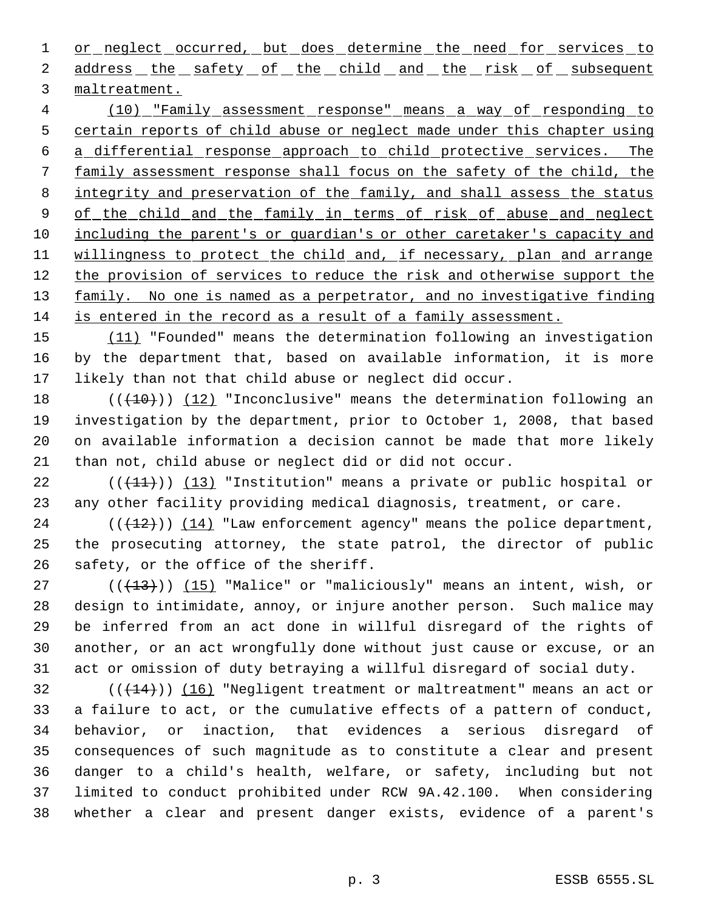1 or neglect occurred, but does determine the need for services to 2 address the safety of the child and the risk of subsequent maltreatment.

 (10) "Family assessment response" means a way of responding to certain reports of child abuse or neglect made under this chapter using a differential response approach to child protective services. The family assessment response shall focus on the safety of the child, the 8 integrity and preservation of the family, and shall assess the status 9 of the child and the family in terms of risk of abuse and neglect including the parent's or guardian's or other caretaker's capacity and 11 willingness to protect the child and, if necessary, plan and arrange 12 the provision of services to reduce the risk and otherwise support the 13 family. No one is named as a perpetrator, and no investigative finding is entered in the record as a result of a family assessment.

 (11) "Founded" means the determination following an investigation by the department that, based on available information, it is more likely than not that child abuse or neglect did occur.

 $((+10))$   $(12)$  "Inconclusive" means the determination following an investigation by the department, prior to October 1, 2008, that based on available information a decision cannot be made that more likely than not, child abuse or neglect did or did not occur.

22  $((+11))$   $(13)$  "Institution" means a private or public hospital or any other facility providing medical diagnosis, treatment, or care.

 (( $(12)$ ))  $(14)$  "Law enforcement agency" means the police department, the prosecuting attorney, the state patrol, the director of public safety, or the office of the sheriff.

 $((+13))$   $(15)$  "Malice" or "maliciously" means an intent, wish, or design to intimidate, annoy, or injure another person. Such malice may be inferred from an act done in willful disregard of the rights of another, or an act wrongfully done without just cause or excuse, or an act or omission of duty betraying a willful disregard of social duty.

32 (( $(14)$ )) (16) "Negligent treatment or maltreatment" means an act or a failure to act, or the cumulative effects of a pattern of conduct, behavior, or inaction, that evidences a serious disregard of consequences of such magnitude as to constitute a clear and present danger to a child's health, welfare, or safety, including but not limited to conduct prohibited under RCW 9A.42.100. When considering whether a clear and present danger exists, evidence of a parent's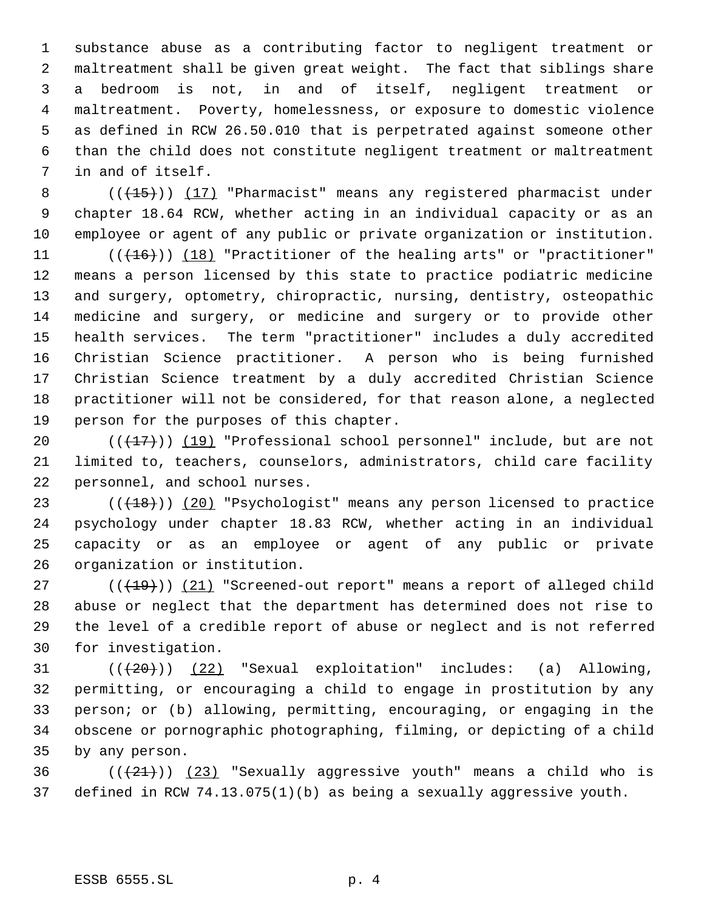substance abuse as a contributing factor to negligent treatment or maltreatment shall be given great weight. The fact that siblings share a bedroom is not, in and of itself, negligent treatment or maltreatment. Poverty, homelessness, or exposure to domestic violence as defined in RCW 26.50.010 that is perpetrated against someone other than the child does not constitute negligent treatment or maltreatment in and of itself.

8 (( $\left(\frac{15}{15}\right)$ ) (17) "Pharmacist" means any registered pharmacist under chapter 18.64 RCW, whether acting in an individual capacity or as an employee or agent of any public or private organization or institution.

11 (( $(16)$ )) (18) "Practitioner of the healing arts" or "practitioner" means a person licensed by this state to practice podiatric medicine and surgery, optometry, chiropractic, nursing, dentistry, osteopathic medicine and surgery, or medicine and surgery or to provide other health services. The term "practitioner" includes a duly accredited Christian Science practitioner. A person who is being furnished Christian Science treatment by a duly accredited Christian Science practitioner will not be considered, for that reason alone, a neglected person for the purposes of this chapter.

20  $((+17))$   $(19)$  "Professional school personnel" include, but are not limited to, teachers, counselors, administrators, child care facility personnel, and school nurses.

 $((+18))$   $(20)$  "Psychologist" means any person licensed to practice psychology under chapter 18.83 RCW, whether acting in an individual capacity or as an employee or agent of any public or private organization or institution.

27 (( $(19)$ )) (21) "Screened-out report" means a report of alleged child abuse or neglect that the department has determined does not rise to the level of a credible report of abuse or neglect and is not referred for investigation.

 $((+20))$   $(22)$  "Sexual exploitation" includes: (a) Allowing, permitting, or encouraging a child to engage in prostitution by any person; or (b) allowing, permitting, encouraging, or engaging in the obscene or pornographic photographing, filming, or depicting of a child by any person.

36  $((21))$  (23) "Sexually aggressive youth" means a child who is defined in RCW 74.13.075(1)(b) as being a sexually aggressive youth.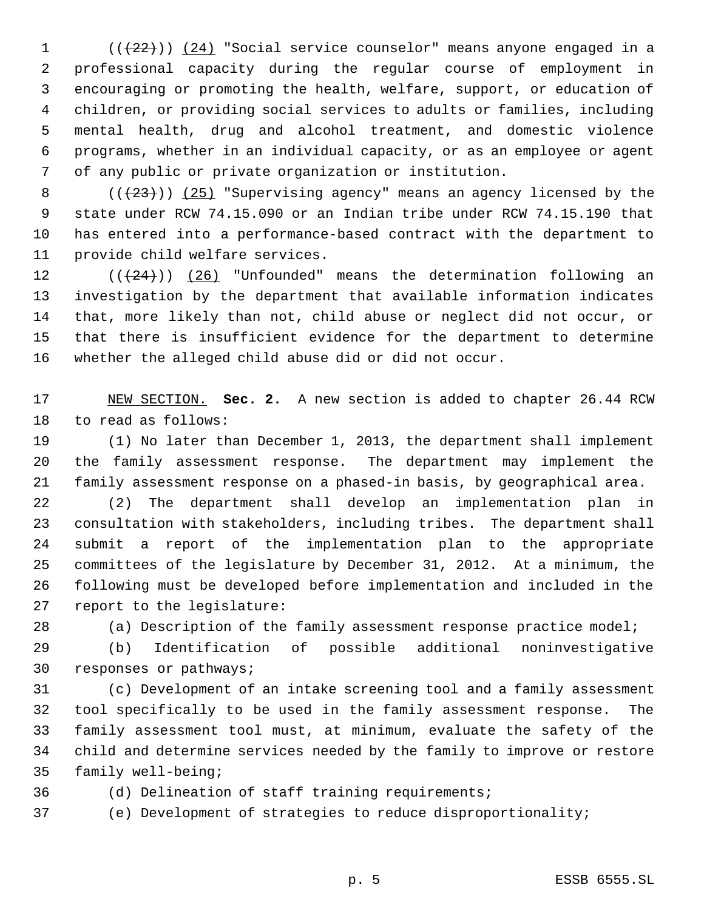$((+22))$   $(24)$  "Social service counselor" means anyone engaged in a professional capacity during the regular course of employment in encouraging or promoting the health, welfare, support, or education of children, or providing social services to adults or families, including mental health, drug and alcohol treatment, and domestic violence programs, whether in an individual capacity, or as an employee or agent of any public or private organization or institution.

 $((+23))$   $(25)$  "Supervising agency" means an agency licensed by the state under RCW 74.15.090 or an Indian tribe under RCW 74.15.190 that has entered into a performance-based contract with the department to provide child welfare services.

 $((+24))$   $(26)$  "Unfounded" means the determination following an investigation by the department that available information indicates that, more likely than not, child abuse or neglect did not occur, or that there is insufficient evidence for the department to determine whether the alleged child abuse did or did not occur.

 NEW SECTION. **Sec. 2.** A new section is added to chapter 26.44 RCW to read as follows:

 (1) No later than December 1, 2013, the department shall implement the family assessment response. The department may implement the family assessment response on a phased-in basis, by geographical area.

 (2) The department shall develop an implementation plan in consultation with stakeholders, including tribes. The department shall submit a report of the implementation plan to the appropriate committees of the legislature by December 31, 2012. At a minimum, the following must be developed before implementation and included in the report to the legislature:

(a) Description of the family assessment response practice model;

 (b) Identification of possible additional noninvestigative responses or pathways;

 (c) Development of an intake screening tool and a family assessment tool specifically to be used in the family assessment response. The family assessment tool must, at minimum, evaluate the safety of the child and determine services needed by the family to improve or restore family well-being;

(d) Delineation of staff training requirements;

(e) Development of strategies to reduce disproportionality;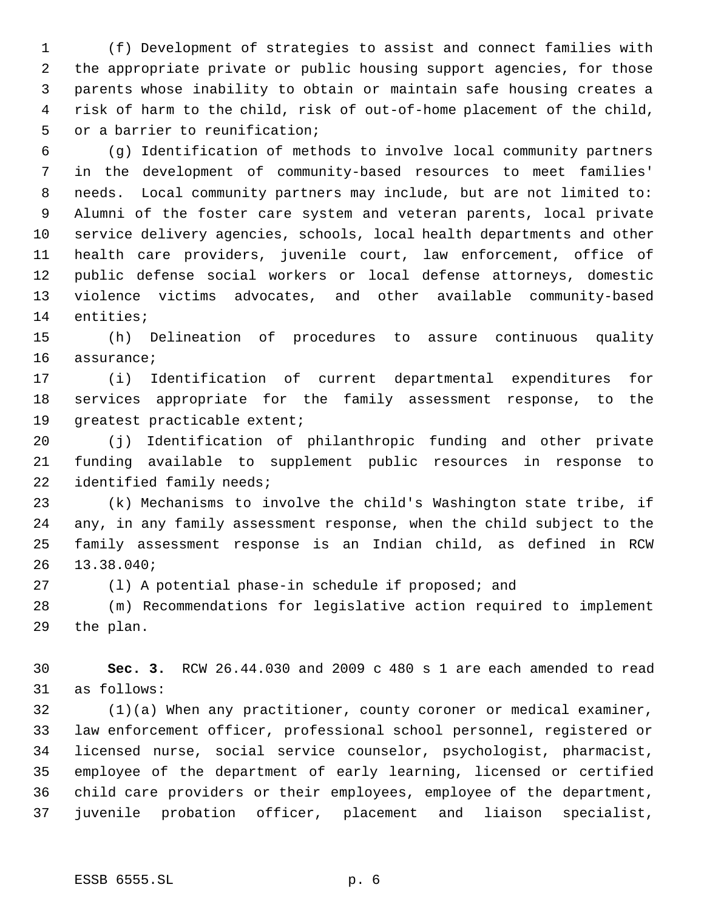(f) Development of strategies to assist and connect families with the appropriate private or public housing support agencies, for those parents whose inability to obtain or maintain safe housing creates a risk of harm to the child, risk of out-of-home placement of the child, or a barrier to reunification;

 (g) Identification of methods to involve local community partners in the development of community-based resources to meet families' needs. Local community partners may include, but are not limited to: Alumni of the foster care system and veteran parents, local private service delivery agencies, schools, local health departments and other health care providers, juvenile court, law enforcement, office of public defense social workers or local defense attorneys, domestic violence victims advocates, and other available community-based entities;

 (h) Delineation of procedures to assure continuous quality assurance;

 (i) Identification of current departmental expenditures for services appropriate for the family assessment response, to the greatest practicable extent;

 (j) Identification of philanthropic funding and other private funding available to supplement public resources in response to identified family needs;

 (k) Mechanisms to involve the child's Washington state tribe, if any, in any family assessment response, when the child subject to the family assessment response is an Indian child, as defined in RCW 13.38.040;

(l) A potential phase-in schedule if proposed; and

 (m) Recommendations for legislative action required to implement the plan.

 **Sec. 3.** RCW 26.44.030 and 2009 c 480 s 1 are each amended to read as follows:

 (1)(a) When any practitioner, county coroner or medical examiner, law enforcement officer, professional school personnel, registered or licensed nurse, social service counselor, psychologist, pharmacist, employee of the department of early learning, licensed or certified child care providers or their employees, employee of the department, juvenile probation officer, placement and liaison specialist,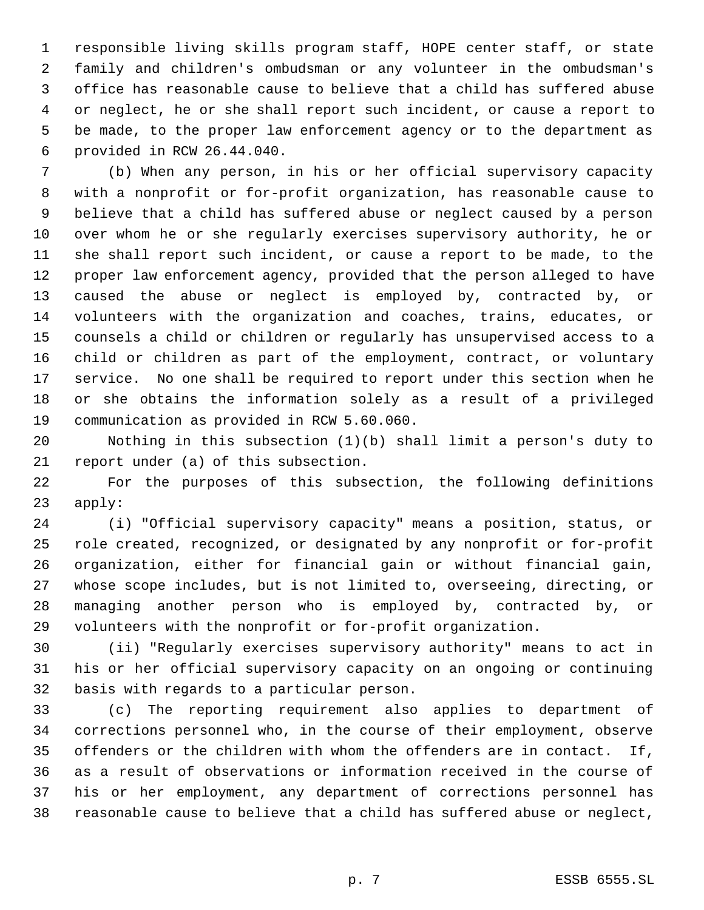responsible living skills program staff, HOPE center staff, or state family and children's ombudsman or any volunteer in the ombudsman's office has reasonable cause to believe that a child has suffered abuse or neglect, he or she shall report such incident, or cause a report to be made, to the proper law enforcement agency or to the department as provided in RCW 26.44.040.

 (b) When any person, in his or her official supervisory capacity with a nonprofit or for-profit organization, has reasonable cause to believe that a child has suffered abuse or neglect caused by a person over whom he or she regularly exercises supervisory authority, he or she shall report such incident, or cause a report to be made, to the proper law enforcement agency, provided that the person alleged to have caused the abuse or neglect is employed by, contracted by, or volunteers with the organization and coaches, trains, educates, or counsels a child or children or regularly has unsupervised access to a child or children as part of the employment, contract, or voluntary service. No one shall be required to report under this section when he or she obtains the information solely as a result of a privileged communication as provided in RCW 5.60.060.

 Nothing in this subsection (1)(b) shall limit a person's duty to report under (a) of this subsection.

 For the purposes of this subsection, the following definitions apply:

 (i) "Official supervisory capacity" means a position, status, or role created, recognized, or designated by any nonprofit or for-profit organization, either for financial gain or without financial gain, whose scope includes, but is not limited to, overseeing, directing, or managing another person who is employed by, contracted by, or volunteers with the nonprofit or for-profit organization.

 (ii) "Regularly exercises supervisory authority" means to act in his or her official supervisory capacity on an ongoing or continuing basis with regards to a particular person.

 (c) The reporting requirement also applies to department of corrections personnel who, in the course of their employment, observe offenders or the children with whom the offenders are in contact. If, as a result of observations or information received in the course of his or her employment, any department of corrections personnel has reasonable cause to believe that a child has suffered abuse or neglect,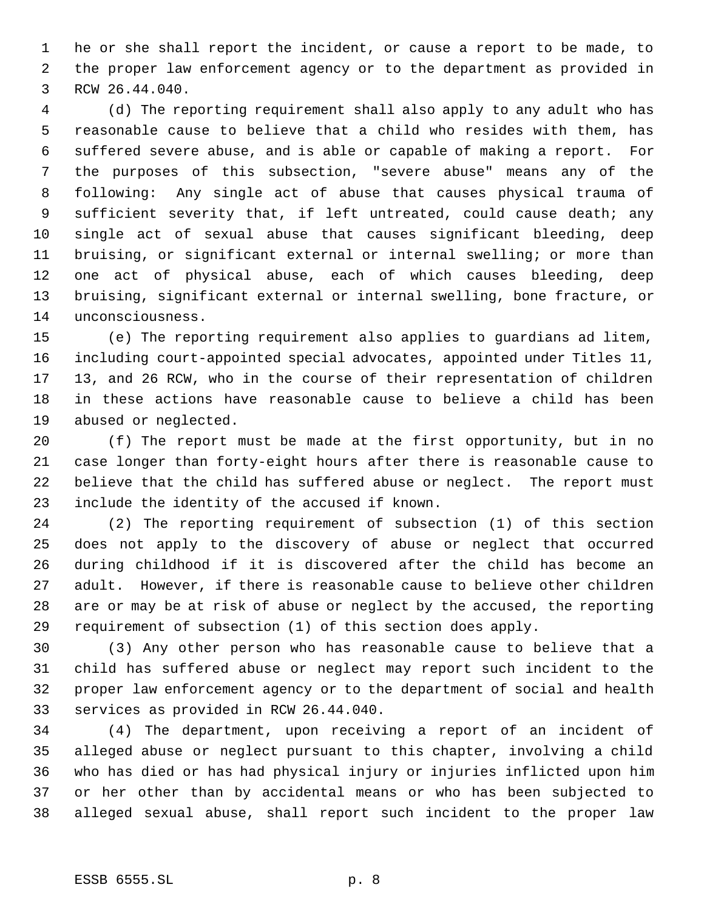he or she shall report the incident, or cause a report to be made, to the proper law enforcement agency or to the department as provided in RCW 26.44.040.

 (d) The reporting requirement shall also apply to any adult who has reasonable cause to believe that a child who resides with them, has suffered severe abuse, and is able or capable of making a report. For the purposes of this subsection, "severe abuse" means any of the following: Any single act of abuse that causes physical trauma of sufficient severity that, if left untreated, could cause death; any single act of sexual abuse that causes significant bleeding, deep bruising, or significant external or internal swelling; or more than one act of physical abuse, each of which causes bleeding, deep bruising, significant external or internal swelling, bone fracture, or unconsciousness.

 (e) The reporting requirement also applies to guardians ad litem, including court-appointed special advocates, appointed under Titles 11, 13, and 26 RCW, who in the course of their representation of children in these actions have reasonable cause to believe a child has been abused or neglected.

 (f) The report must be made at the first opportunity, but in no case longer than forty-eight hours after there is reasonable cause to believe that the child has suffered abuse or neglect. The report must include the identity of the accused if known.

 (2) The reporting requirement of subsection (1) of this section does not apply to the discovery of abuse or neglect that occurred during childhood if it is discovered after the child has become an adult. However, if there is reasonable cause to believe other children are or may be at risk of abuse or neglect by the accused, the reporting requirement of subsection (1) of this section does apply.

 (3) Any other person who has reasonable cause to believe that a child has suffered abuse or neglect may report such incident to the proper law enforcement agency or to the department of social and health services as provided in RCW 26.44.040.

 (4) The department, upon receiving a report of an incident of alleged abuse or neglect pursuant to this chapter, involving a child who has died or has had physical injury or injuries inflicted upon him or her other than by accidental means or who has been subjected to alleged sexual abuse, shall report such incident to the proper law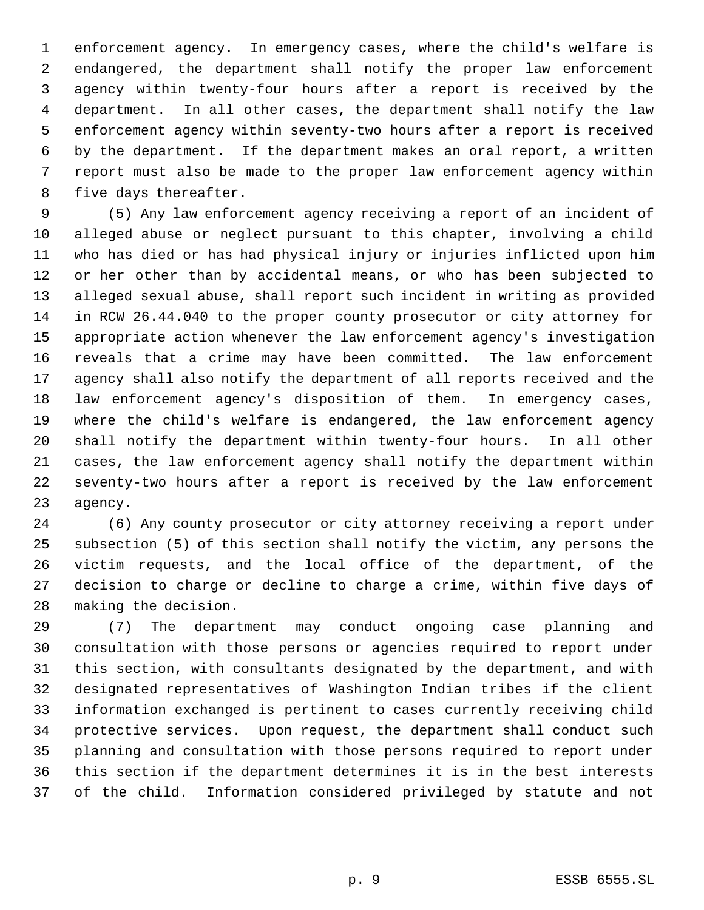enforcement agency. In emergency cases, where the child's welfare is endangered, the department shall notify the proper law enforcement agency within twenty-four hours after a report is received by the department. In all other cases, the department shall notify the law enforcement agency within seventy-two hours after a report is received by the department. If the department makes an oral report, a written report must also be made to the proper law enforcement agency within five days thereafter.

 (5) Any law enforcement agency receiving a report of an incident of alleged abuse or neglect pursuant to this chapter, involving a child who has died or has had physical injury or injuries inflicted upon him or her other than by accidental means, or who has been subjected to alleged sexual abuse, shall report such incident in writing as provided in RCW 26.44.040 to the proper county prosecutor or city attorney for appropriate action whenever the law enforcement agency's investigation reveals that a crime may have been committed. The law enforcement agency shall also notify the department of all reports received and the law enforcement agency's disposition of them. In emergency cases, where the child's welfare is endangered, the law enforcement agency shall notify the department within twenty-four hours. In all other cases, the law enforcement agency shall notify the department within seventy-two hours after a report is received by the law enforcement agency.

 (6) Any county prosecutor or city attorney receiving a report under subsection (5) of this section shall notify the victim, any persons the victim requests, and the local office of the department, of the decision to charge or decline to charge a crime, within five days of making the decision.

 (7) The department may conduct ongoing case planning and consultation with those persons or agencies required to report under this section, with consultants designated by the department, and with designated representatives of Washington Indian tribes if the client information exchanged is pertinent to cases currently receiving child protective services. Upon request, the department shall conduct such planning and consultation with those persons required to report under this section if the department determines it is in the best interests of the child. Information considered privileged by statute and not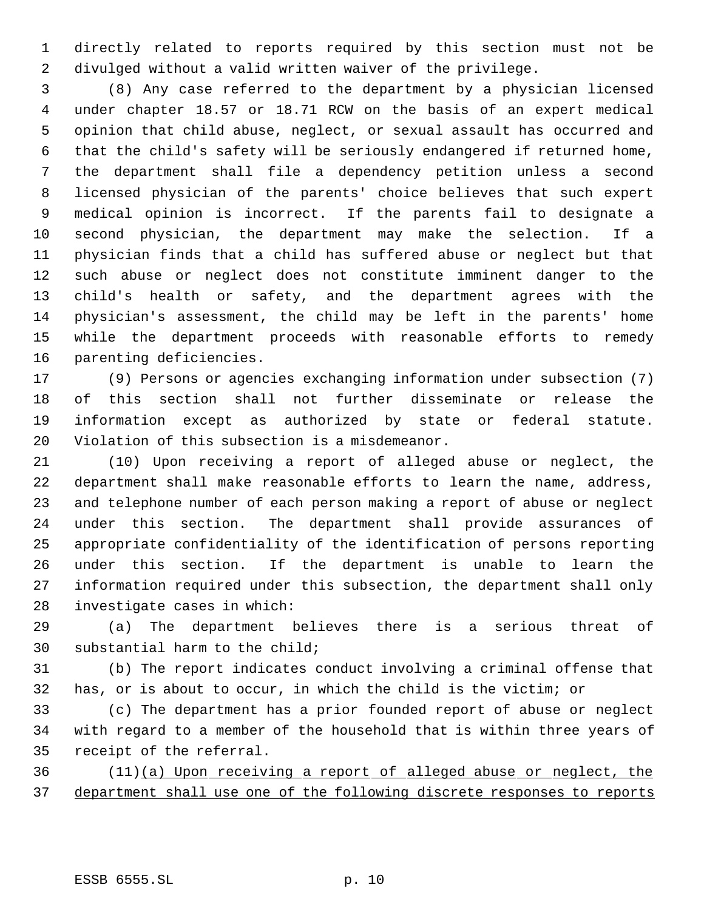directly related to reports required by this section must not be divulged without a valid written waiver of the privilege.

 (8) Any case referred to the department by a physician licensed under chapter 18.57 or 18.71 RCW on the basis of an expert medical opinion that child abuse, neglect, or sexual assault has occurred and that the child's safety will be seriously endangered if returned home, the department shall file a dependency petition unless a second licensed physician of the parents' choice believes that such expert medical opinion is incorrect. If the parents fail to designate a second physician, the department may make the selection. If a physician finds that a child has suffered abuse or neglect but that such abuse or neglect does not constitute imminent danger to the child's health or safety, and the department agrees with the physician's assessment, the child may be left in the parents' home while the department proceeds with reasonable efforts to remedy parenting deficiencies.

 (9) Persons or agencies exchanging information under subsection (7) of this section shall not further disseminate or release the information except as authorized by state or federal statute. Violation of this subsection is a misdemeanor.

 (10) Upon receiving a report of alleged abuse or neglect, the department shall make reasonable efforts to learn the name, address, and telephone number of each person making a report of abuse or neglect under this section. The department shall provide assurances of appropriate confidentiality of the identification of persons reporting under this section. If the department is unable to learn the information required under this subsection, the department shall only investigate cases in which:

 (a) The department believes there is a serious threat of substantial harm to the child;

 (b) The report indicates conduct involving a criminal offense that has, or is about to occur, in which the child is the victim; or

 (c) The department has a prior founded report of abuse or neglect with regard to a member of the household that is within three years of receipt of the referral.

 (11)(a) Upon receiving a report of alleged abuse or neglect, the department shall use one of the following discrete responses to reports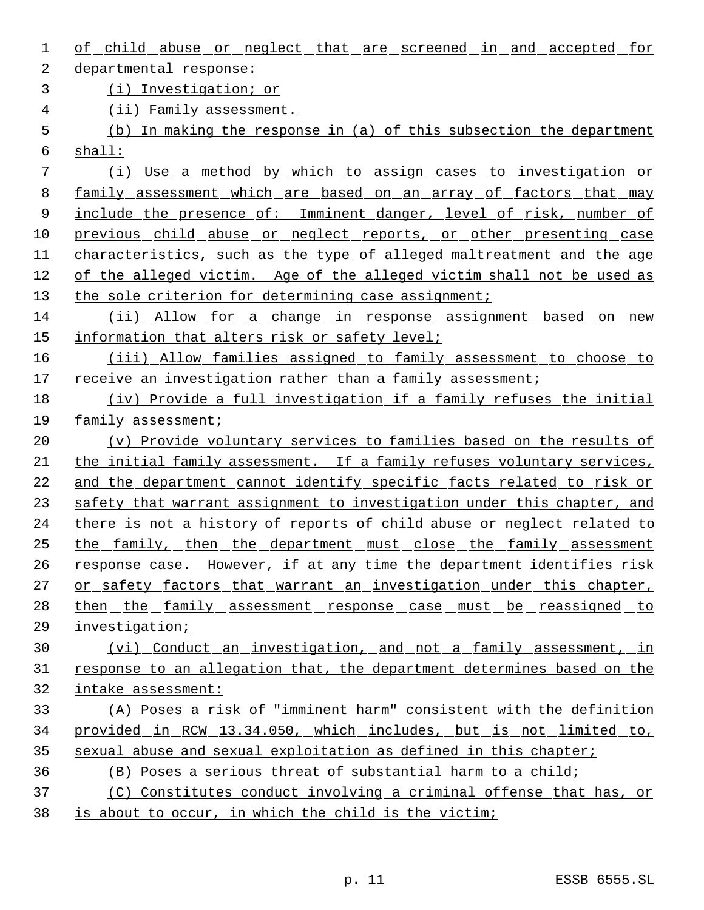| 1  | of child abuse or neglect that are screened in and accepted for         |
|----|-------------------------------------------------------------------------|
| 2  | departmental response:                                                  |
| 3  | (i) Investigation; or                                                   |
| 4  | (ii) Family assessment.                                                 |
| 5  | (b) In making the response in (a) of this subsection the department     |
| 6  | shall:                                                                  |
| 7  | (i) Use a method by which to assign cases to investigation or           |
| 8  | family assessment which are based on an array of factors that may       |
| 9  | include the presence of: Imminent danger, level of risk, number of      |
| 10 | previous child abuse or neglect reports, or other presenting case       |
| 11 | characteristics, such as the type of alleged maltreatment and the age   |
| 12 | of the alleged victim. Age of the alleged victim shall not be used as   |
| 13 | the sole criterion for determining case assignment;                     |
| 14 | (ii) Allow for a change in response assignment based on new             |
| 15 | information that alters risk or safety level;                           |
| 16 | (iii) Allow families assigned to family assessment to choose to         |
| 17 | receive an investigation rather than a family assessment;               |
| 18 | (iv) Provide a full investigation if a family refuses the initial       |
| 19 | family assessment;                                                      |
| 20 | (v) Provide voluntary services to families based on the results of      |
| 21 | the initial family assessment. If a family refuses voluntary services,  |
| 22 | and the department cannot identify specific facts related to risk or    |
| 23 | safety that warrant assignment to investigation under this chapter, and |
| 24 | there is not a history of reports of child abuse or neglect related to  |
| 25 | <u>the family, then the department must close the family assessment</u> |
| 26 | response case. However, if at any time the department identifies risk   |
| 27 | or safety factors that warrant an investigation under this chapter,     |
| 28 | then the family assessment response case must be reassigned to          |
| 29 | investigation;                                                          |
| 30 | (vi) Conduct an investigation, and not a family assessment, in          |
| 31 | response to an allegation that, the department determines based on the  |
| 32 | intake assessment:                                                      |
| 33 | (A) Poses a risk of "imminent harm" consistent with the definition      |
| 34 | provided in RCW 13.34.050, which includes, but is not limited to,       |
| 35 | sexual abuse and sexual exploitation as defined in this chapter;        |
| 36 | (B) Poses a serious threat of substantial harm to a child;              |
| 37 | (C) Constitutes conduct involving a criminal offense that has, or       |
| 38 | is about to occur, in which the child is the victim;                    |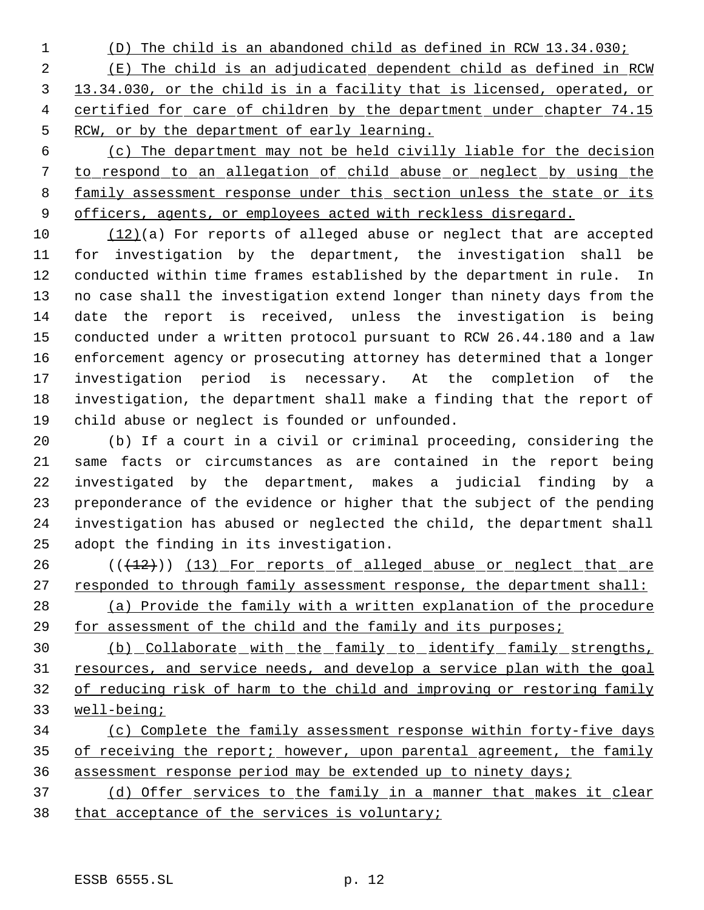(D) The child is an abandoned child as defined in RCW 13.34.030; (E) The child is an adjudicated dependent child as defined in RCW 13.34.030, or the child is in a facility that is licensed, operated, or 4 certified for care of children by the department under chapter 74.15 RCW, or by the department of early learning.

 (c) The department may not be held civilly liable for the decision to respond to an allegation of child abuse or neglect by using the family assessment response under this section unless the state or its 9 officers, agents, or employees acted with reckless disregard.

 (12)(a) For reports of alleged abuse or neglect that are accepted for investigation by the department, the investigation shall be conducted within time frames established by the department in rule. In no case shall the investigation extend longer than ninety days from the date the report is received, unless the investigation is being conducted under a written protocol pursuant to RCW 26.44.180 and a law enforcement agency or prosecuting attorney has determined that a longer investigation period is necessary. At the completion of the investigation, the department shall make a finding that the report of child abuse or neglect is founded or unfounded.

 (b) If a court in a civil or criminal proceeding, considering the same facts or circumstances as are contained in the report being investigated by the department, makes a judicial finding by a preponderance of the evidence or higher that the subject of the pending investigation has abused or neglected the child, the department shall adopt the finding in its investigation.

26 (( $(12)$ )) (13) For reports of alleged abuse or neglect that are 27 responded to through family assessment response, the department shall:

 (a) Provide the family with a written explanation of the procedure for assessment of the child and the family and its purposes;

 (b) Collaborate with the family to identify family strengths, 31 resources, and service needs, and develop a service plan with the goal of reducing risk of harm to the child and improving or restoring family well-being;

 (c) Complete the family assessment response within forty-five days 35 of receiving the report; however, upon parental agreement, the family assessment response period may be extended up to ninety days;

 (d) Offer services to the family in a manner that makes it clear that acceptance of the services is voluntary;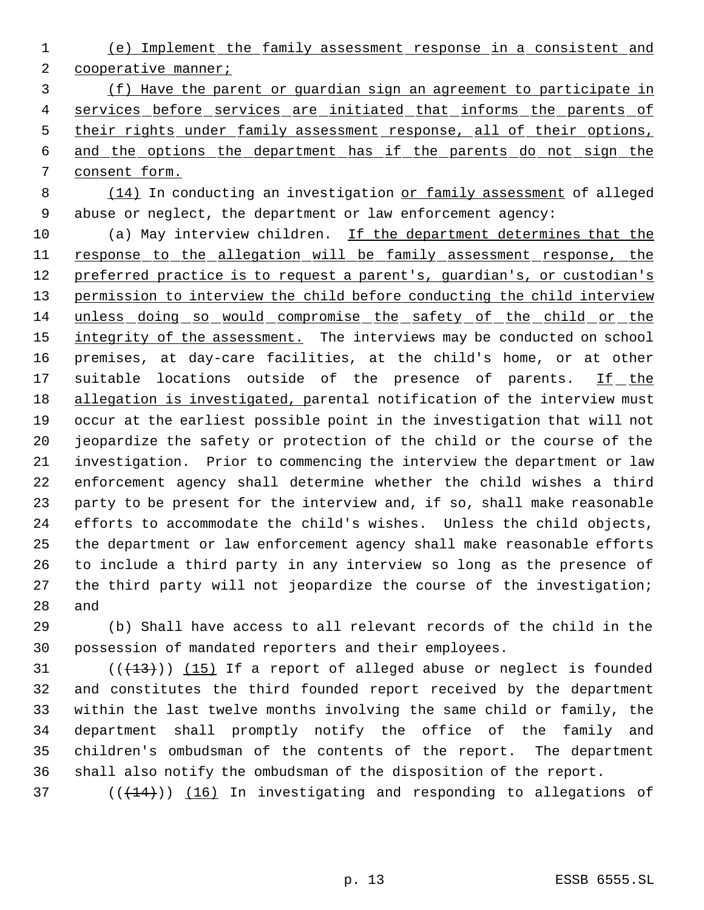(e) Implement the family assessment response in a consistent and 2 cooperative manner;

 (f) Have the parent or guardian sign an agreement to participate in 4 services before services are initiated that informs the parents of 5 their rights under family assessment response, all of their options, and the options the department has if the parents do not sign the consent form.

 (14) In conducting an investigation or family assessment of alleged abuse or neglect, the department or law enforcement agency:

10 (a) May interview children. If the department determines that the 11 response to the allegation will be family assessment response, the 12 preferred practice is to request a parent's, quardian's, or custodian's permission to interview the child before conducting the child interview unless doing so would compromise the safety of the child or the 15 integrity of the assessment. The interviews may be conducted on school premises, at day-care facilities, at the child's home, or at other 17 suitable locations outside of the presence of parents. If the allegation is investigated, parental notification of the interview must occur at the earliest possible point in the investigation that will not jeopardize the safety or protection of the child or the course of the investigation. Prior to commencing the interview the department or law enforcement agency shall determine whether the child wishes a third party to be present for the interview and, if so, shall make reasonable efforts to accommodate the child's wishes. Unless the child objects, the department or law enforcement agency shall make reasonable efforts to include a third party in any interview so long as the presence of the third party will not jeopardize the course of the investigation; and

 (b) Shall have access to all relevant records of the child in the possession of mandated reporters and their employees.

 $((+13))$   $(15)$  If a report of alleged abuse or neglect is founded and constitutes the third founded report received by the department within the last twelve months involving the same child or family, the department shall promptly notify the office of the family and children's ombudsman of the contents of the report. The department shall also notify the ombudsman of the disposition of the report.

( $(\overline{+14})$ )  $(16)$  In investigating and responding to allegations of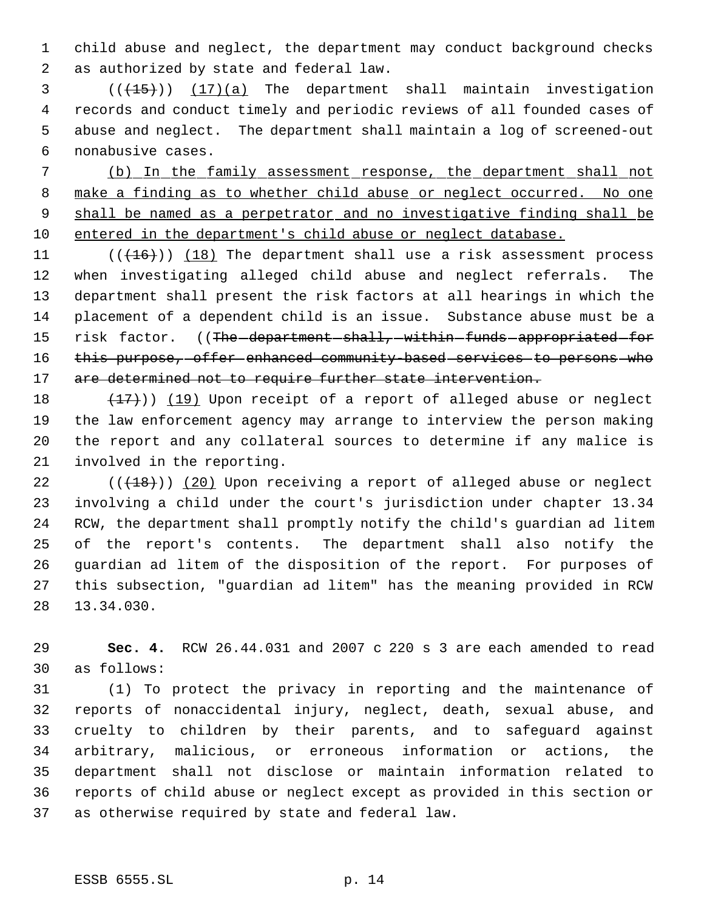child abuse and neglect, the department may conduct background checks as authorized by state and federal law.

3 (( $(15)$ )) (17)(a) The department shall maintain investigation records and conduct timely and periodic reviews of all founded cases of abuse and neglect. The department shall maintain a log of screened-out nonabusive cases.

 (b) In the family assessment response, the department shall not 8 make a finding as to whether child abuse or neglect occurred. No one shall be named as a perpetrator and no investigative finding shall be entered in the department's child abuse or neglect database.

11  $((+16))$   $(18)$  The department shall use a risk assessment process when investigating alleged child abuse and neglect referrals. The department shall present the risk factors at all hearings in which the placement of a dependent child is an issue. Substance abuse must be a 15 risk factor. ((The department shall, within funds appropriated for 16 this purpose, offer enhanced community based services to persons who 17 are determined not to require further state intervention.

 $(17)$ ) (19) Upon receipt of a report of alleged abuse or neglect the law enforcement agency may arrange to interview the person making the report and any collateral sources to determine if any malice is involved in the reporting.

 (( $(18)$ )) (20) Upon receiving a report of alleged abuse or neglect involving a child under the court's jurisdiction under chapter 13.34 RCW, the department shall promptly notify the child's guardian ad litem of the report's contents. The department shall also notify the guardian ad litem of the disposition of the report. For purposes of this subsection, "guardian ad litem" has the meaning provided in RCW 13.34.030.

 **Sec. 4.** RCW 26.44.031 and 2007 c 220 s 3 are each amended to read as follows:

 (1) To protect the privacy in reporting and the maintenance of reports of nonaccidental injury, neglect, death, sexual abuse, and cruelty to children by their parents, and to safeguard against arbitrary, malicious, or erroneous information or actions, the department shall not disclose or maintain information related to reports of child abuse or neglect except as provided in this section or as otherwise required by state and federal law.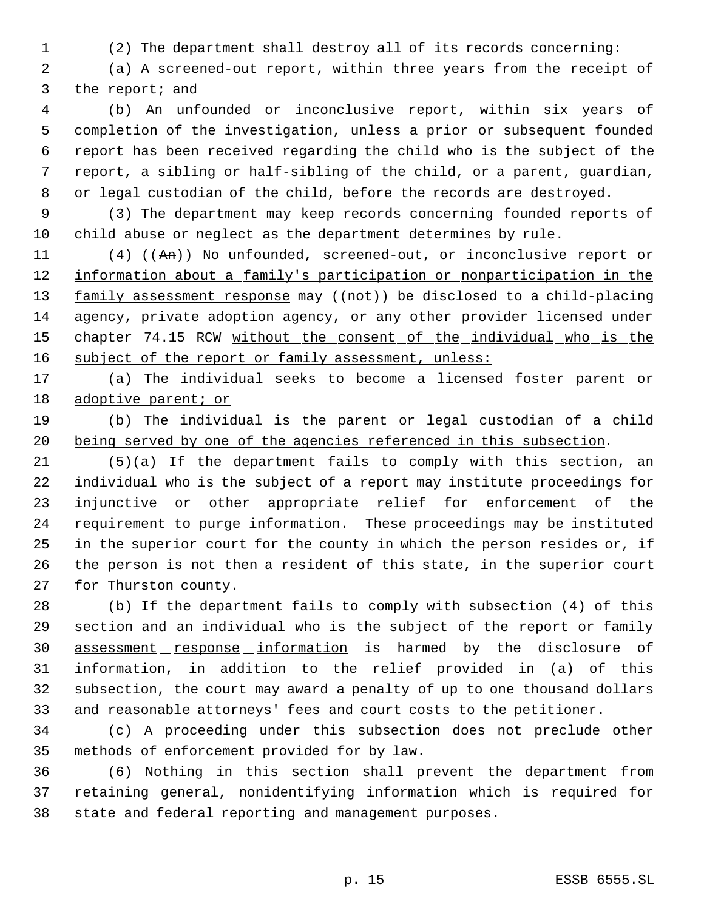(2) The department shall destroy all of its records concerning:

 (a) A screened-out report, within three years from the receipt of the report; and

 (b) An unfounded or inconclusive report, within six years of completion of the investigation, unless a prior or subsequent founded report has been received regarding the child who is the subject of the report, a sibling or half-sibling of the child, or a parent, guardian, or legal custodian of the child, before the records are destroyed.

 (3) The department may keep records concerning founded reports of child abuse or neglect as the department determines by rule.

11 (4) ((An)) No unfounded, screened-out, or inconclusive report or 12 information about a family's participation or nonparticipation in the 13 family assessment response may ((not)) be disclosed to a child-placing agency, private adoption agency, or any other provider licensed under 15 chapter 74.15 RCW without the consent of the individual who is the 16 subject of the report or family assessment, unless:

 (a) The individual seeks to become a licensed foster parent or 18 adoptive parent; or

 (b) The individual is the parent or legal custodian of a child being served by one of the agencies referenced in this subsection.

 (5)(a) If the department fails to comply with this section, an individual who is the subject of a report may institute proceedings for injunctive or other appropriate relief for enforcement of the requirement to purge information. These proceedings may be instituted in the superior court for the county in which the person resides or, if the person is not then a resident of this state, in the superior court for Thurston county.

 (b) If the department fails to comply with subsection (4) of this 29 section and an individual who is the subject of the report or family 30 assessment response information is harmed by the disclosure of information, in addition to the relief provided in (a) of this subsection, the court may award a penalty of up to one thousand dollars and reasonable attorneys' fees and court costs to the petitioner.

 (c) A proceeding under this subsection does not preclude other methods of enforcement provided for by law.

 (6) Nothing in this section shall prevent the department from retaining general, nonidentifying information which is required for state and federal reporting and management purposes.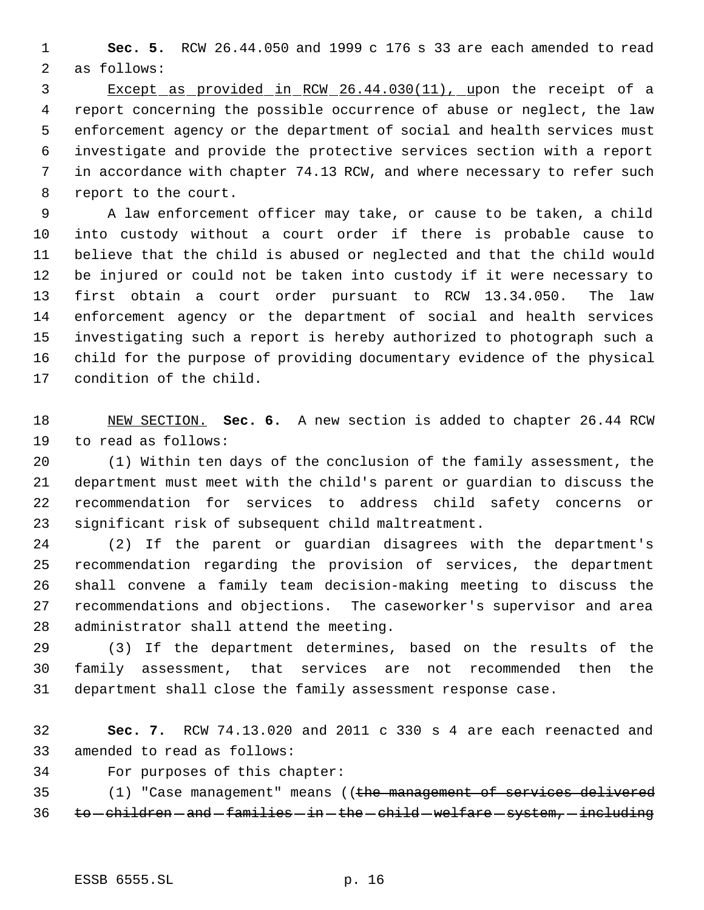**Sec. 5.** RCW 26.44.050 and 1999 c 176 s 33 are each amended to read as follows:

 Except as provided in RCW 26.44.030(11), upon the receipt of a report concerning the possible occurrence of abuse or neglect, the law enforcement agency or the department of social and health services must investigate and provide the protective services section with a report in accordance with chapter 74.13 RCW, and where necessary to refer such report to the court.

 A law enforcement officer may take, or cause to be taken, a child into custody without a court order if there is probable cause to believe that the child is abused or neglected and that the child would be injured or could not be taken into custody if it were necessary to first obtain a court order pursuant to RCW 13.34.050. The law enforcement agency or the department of social and health services investigating such a report is hereby authorized to photograph such a child for the purpose of providing documentary evidence of the physical condition of the child.

 NEW SECTION. **Sec. 6.** A new section is added to chapter 26.44 RCW to read as follows:

 (1) Within ten days of the conclusion of the family assessment, the department must meet with the child's parent or guardian to discuss the recommendation for services to address child safety concerns or significant risk of subsequent child maltreatment.

 (2) If the parent or guardian disagrees with the department's recommendation regarding the provision of services, the department shall convene a family team decision-making meeting to discuss the recommendations and objections. The caseworker's supervisor and area administrator shall attend the meeting.

 (3) If the department determines, based on the results of the family assessment, that services are not recommended then the department shall close the family assessment response case.

 **Sec. 7.** RCW 74.13.020 and 2011 c 330 s 4 are each reenacted and amended to read as follows:

For purposes of this chapter:

35 (1) "Case management" means ((the management of services delivered 36 to -children - and -families - in - the -child - welfare - system, - including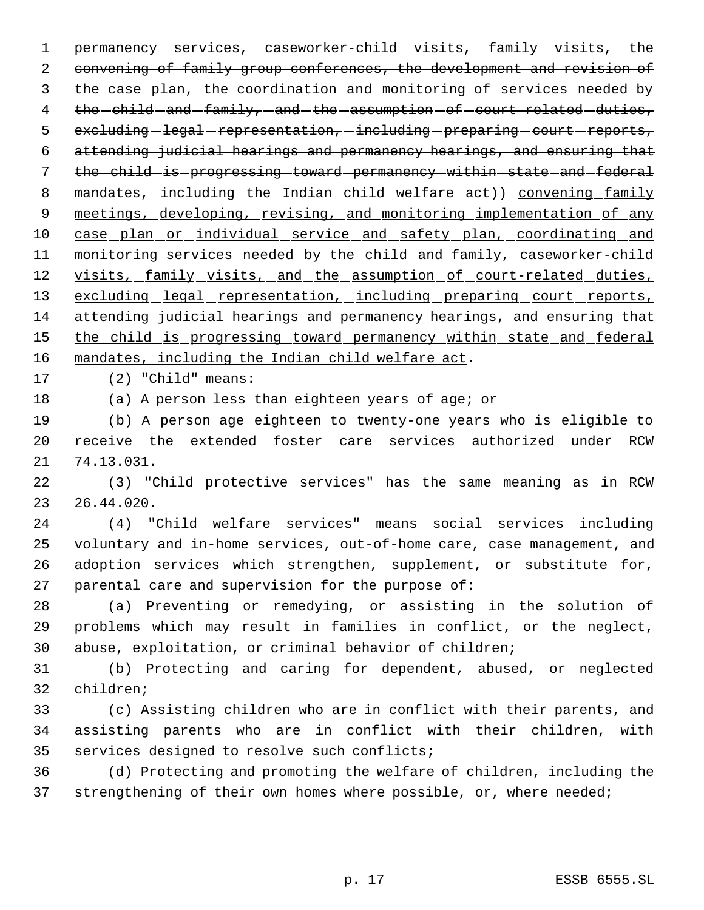1 permanency  $-$  services,  $-$  caseworker-child  $-$  visits,  $-$  family  $-$  visits,  $-$  the convening of family group conferences, the development and revision of the case plan, the coordination and monitoring of services needed by 4 the -child -and -family, -and -the -assumption -of -court-related -duties, 5 excluding legal representation, including preparing court reports, attending judicial hearings and permanency hearings, and ensuring that 7 the child is progressing toward permanency within state and federal 8 mandates, including the Indian child welfare act) convening family 9 meetings, developing, revising, and monitoring implementation of any 10 case plan or individual service and safety plan, coordinating and 11 monitoring services needed by the child and family, caseworker-child 12 visits, family visits, and the assumption of court-related duties, 13 excluding legal representation, including preparing court reports, attending judicial hearings and permanency hearings, and ensuring that 15 the child is progressing toward permanency within state and federal mandates, including the Indian child welfare act.

(2) "Child" means:

(a) A person less than eighteen years of age; or

 (b) A person age eighteen to twenty-one years who is eligible to receive the extended foster care services authorized under RCW 74.13.031.

 (3) "Child protective services" has the same meaning as in RCW 26.44.020.

 (4) "Child welfare services" means social services including voluntary and in-home services, out-of-home care, case management, and adoption services which strengthen, supplement, or substitute for, parental care and supervision for the purpose of:

 (a) Preventing or remedying, or assisting in the solution of problems which may result in families in conflict, or the neglect, abuse, exploitation, or criminal behavior of children;

 (b) Protecting and caring for dependent, abused, or neglected children;

 (c) Assisting children who are in conflict with their parents, and assisting parents who are in conflict with their children, with services designed to resolve such conflicts;

 (d) Protecting and promoting the welfare of children, including the 37 strengthening of their own homes where possible, or, where needed;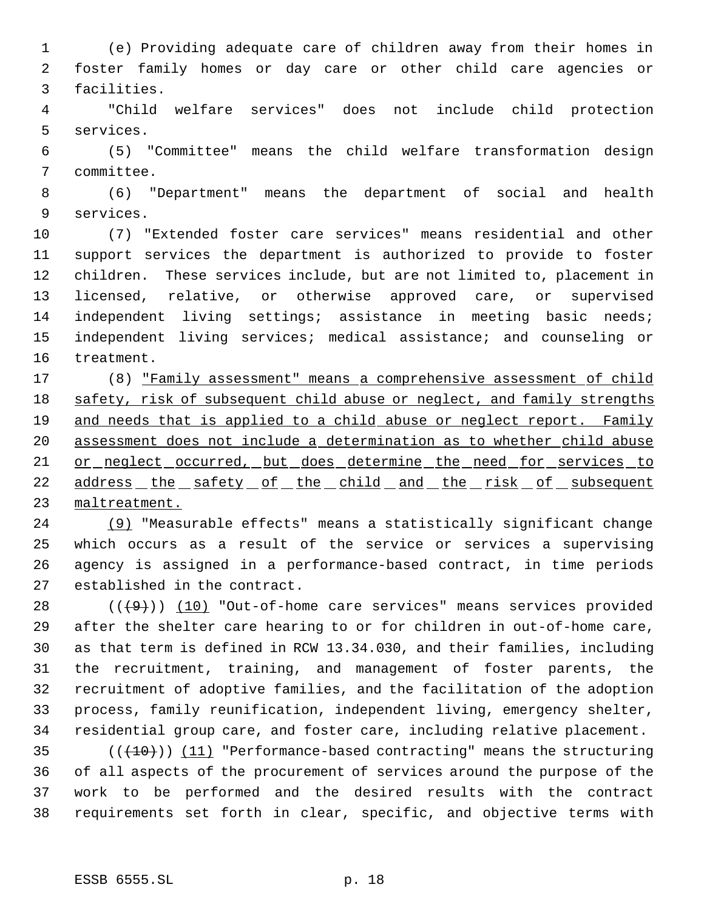(e) Providing adequate care of children away from their homes in foster family homes or day care or other child care agencies or facilities.

 "Child welfare services" does not include child protection services.

 (5) "Committee" means the child welfare transformation design committee.

 (6) "Department" means the department of social and health services.

 (7) "Extended foster care services" means residential and other support services the department is authorized to provide to foster children. These services include, but are not limited to, placement in licensed, relative, or otherwise approved care, or supervised independent living settings; assistance in meeting basic needs; independent living services; medical assistance; and counseling or treatment.

 (8) "Family assessment" means a comprehensive assessment of child 18 safety, risk of subsequent child abuse or neglect, and family strengths 19 and needs that is applied to a child abuse or neglect report. Family assessment does not include a determination as to whether child abuse 21 or neglect occurred, but does determine the need for services to 22 address the safety of the child and the risk of subsequent maltreatment.

 (9) "Measurable effects" means a statistically significant change which occurs as a result of the service or services a supervising agency is assigned in a performance-based contract, in time periods established in the contract.

 $((+9))$   $(10)$  "Out-of-home care services" means services provided after the shelter care hearing to or for children in out-of-home care, as that term is defined in RCW 13.34.030, and their families, including the recruitment, training, and management of foster parents, the recruitment of adoptive families, and the facilitation of the adoption process, family reunification, independent living, emergency shelter, residential group care, and foster care, including relative placement.

35 (( $(10)$ )) (11) "Performance-based contracting" means the structuring of all aspects of the procurement of services around the purpose of the work to be performed and the desired results with the contract requirements set forth in clear, specific, and objective terms with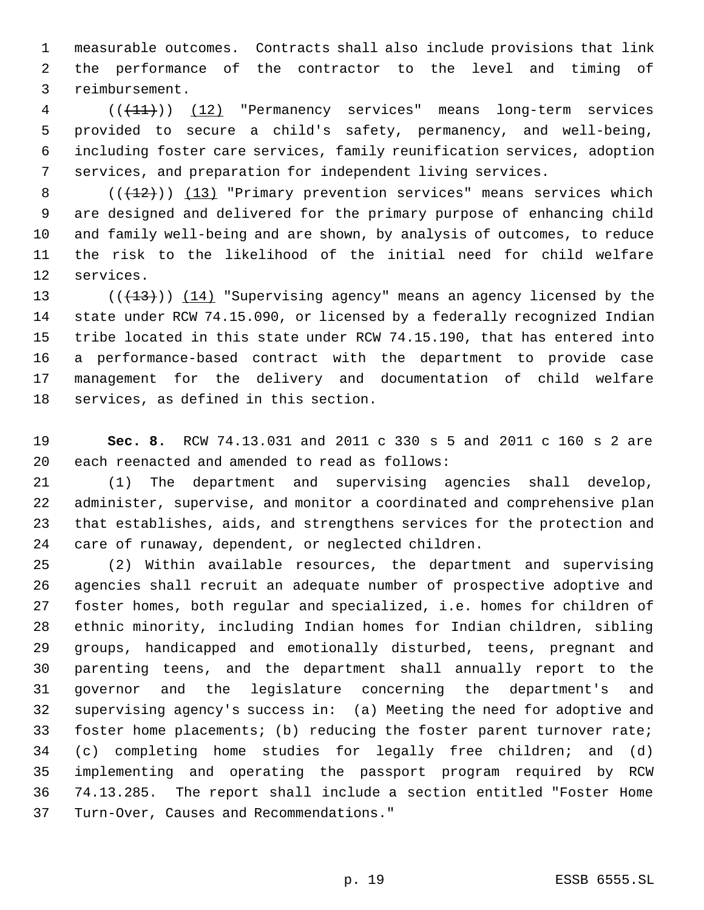measurable outcomes. Contracts shall also include provisions that link the performance of the contractor to the level and timing of reimbursement.

4 (( $(11)$ )) (12) "Permanency services" means long-term services provided to secure a child's safety, permanency, and well-being, including foster care services, family reunification services, adoption services, and preparation for independent living services.

 $((+12))$   $(13)$  "Primary prevention services" means services which are designed and delivered for the primary purpose of enhancing child and family well-being and are shown, by analysis of outcomes, to reduce the risk to the likelihood of the initial need for child welfare services.

 $((+13))$   $(14)$  "Supervising agency" means an agency licensed by the state under RCW 74.15.090, or licensed by a federally recognized Indian tribe located in this state under RCW 74.15.190, that has entered into a performance-based contract with the department to provide case management for the delivery and documentation of child welfare services, as defined in this section.

 **Sec. 8.** RCW 74.13.031 and 2011 c 330 s 5 and 2011 c 160 s 2 are each reenacted and amended to read as follows:

 (1) The department and supervising agencies shall develop, administer, supervise, and monitor a coordinated and comprehensive plan that establishes, aids, and strengthens services for the protection and care of runaway, dependent, or neglected children.

 (2) Within available resources, the department and supervising agencies shall recruit an adequate number of prospective adoptive and foster homes, both regular and specialized, i.e. homes for children of ethnic minority, including Indian homes for Indian children, sibling groups, handicapped and emotionally disturbed, teens, pregnant and parenting teens, and the department shall annually report to the governor and the legislature concerning the department's and supervising agency's success in: (a) Meeting the need for adoptive and foster home placements; (b) reducing the foster parent turnover rate; (c) completing home studies for legally free children; and (d) implementing and operating the passport program required by RCW 74.13.285. The report shall include a section entitled "Foster Home Turn-Over, Causes and Recommendations."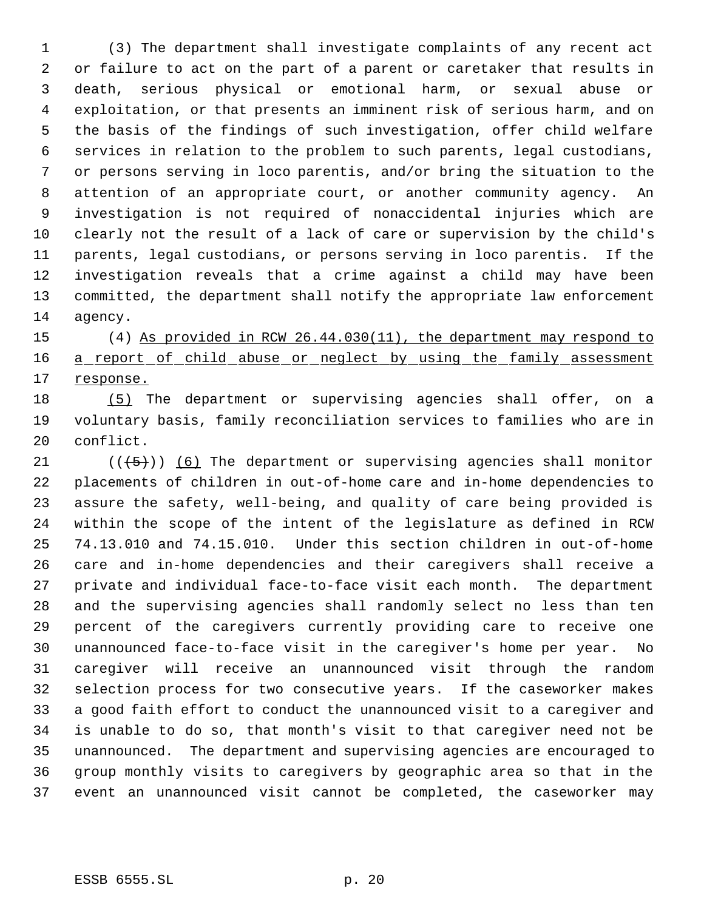(3) The department shall investigate complaints of any recent act or failure to act on the part of a parent or caretaker that results in death, serious physical or emotional harm, or sexual abuse or exploitation, or that presents an imminent risk of serious harm, and on the basis of the findings of such investigation, offer child welfare services in relation to the problem to such parents, legal custodians, or persons serving in loco parentis, and/or bring the situation to the attention of an appropriate court, or another community agency. An investigation is not required of nonaccidental injuries which are clearly not the result of a lack of care or supervision by the child's parents, legal custodians, or persons serving in loco parentis. If the investigation reveals that a crime against a child may have been committed, the department shall notify the appropriate law enforcement agency.

 (4) As provided in RCW 26.44.030(11), the department may respond to 16 a report of child abuse or neglect by using the family assessment 17 response.

 (5) The department or supervising agencies shall offer, on a voluntary basis, family reconciliation services to families who are in conflict.

 $((\langle 5 \rangle)(6)$  The department or supervising agencies shall monitor placements of children in out-of-home care and in-home dependencies to assure the safety, well-being, and quality of care being provided is within the scope of the intent of the legislature as defined in RCW 74.13.010 and 74.15.010. Under this section children in out-of-home care and in-home dependencies and their caregivers shall receive a private and individual face-to-face visit each month. The department and the supervising agencies shall randomly select no less than ten percent of the caregivers currently providing care to receive one unannounced face-to-face visit in the caregiver's home per year. No caregiver will receive an unannounced visit through the random selection process for two consecutive years. If the caseworker makes a good faith effort to conduct the unannounced visit to a caregiver and is unable to do so, that month's visit to that caregiver need not be unannounced. The department and supervising agencies are encouraged to group monthly visits to caregivers by geographic area so that in the event an unannounced visit cannot be completed, the caseworker may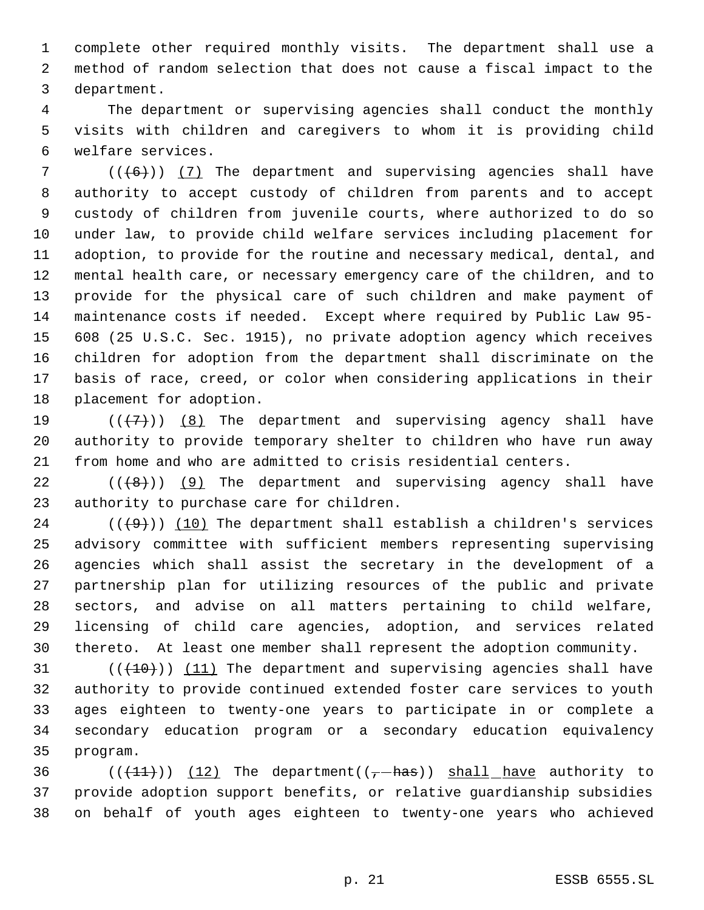complete other required monthly visits. The department shall use a method of random selection that does not cause a fiscal impact to the department.

 The department or supervising agencies shall conduct the monthly visits with children and caregivers to whom it is providing child welfare services.

 $((+6))$   $(7)$  The department and supervising agencies shall have authority to accept custody of children from parents and to accept custody of children from juvenile courts, where authorized to do so under law, to provide child welfare services including placement for adoption, to provide for the routine and necessary medical, dental, and mental health care, or necessary emergency care of the children, and to provide for the physical care of such children and make payment of maintenance costs if needed. Except where required by Public Law 95- 608 (25 U.S.C. Sec. 1915), no private adoption agency which receives children for adoption from the department shall discriminate on the basis of race, creed, or color when considering applications in their placement for adoption.

19  $((+7+))$   $(8)$  The department and supervising agency shall have authority to provide temporary shelter to children who have run away from home and who are admitted to crisis residential centers.

22  $((+8))$  (9) The department and supervising agency shall have authority to purchase care for children.

 $((+9))$  (10) The department shall establish a children's services advisory committee with sufficient members representing supervising agencies which shall assist the secretary in the development of a partnership plan for utilizing resources of the public and private sectors, and advise on all matters pertaining to child welfare, licensing of child care agencies, adoption, and services related thereto. At least one member shall represent the adoption community.

 $((+10))$  (11) The department and supervising agencies shall have authority to provide continued extended foster care services to youth ages eighteen to twenty-one years to participate in or complete a secondary education program or a secondary education equivalency program.

36  $((+11))$  (12) The department( $(-+h\alpha s)$ ) shall have authority to provide adoption support benefits, or relative guardianship subsidies on behalf of youth ages eighteen to twenty-one years who achieved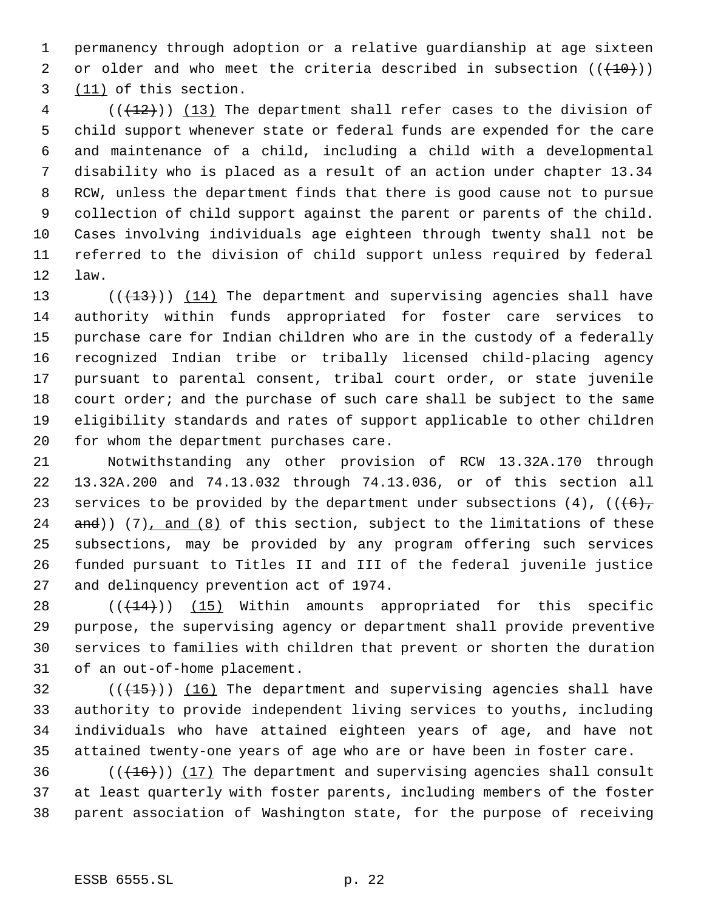permanency through adoption or a relative guardianship at age sixteen 2 or older and who meet the criteria described in subsection  $((+10))$ (11) of this section.

 (( $(12)$ )) (13) The department shall refer cases to the division of child support whenever state or federal funds are expended for the care and maintenance of a child, including a child with a developmental disability who is placed as a result of an action under chapter 13.34 RCW, unless the department finds that there is good cause not to pursue collection of child support against the parent or parents of the child. Cases involving individuals age eighteen through twenty shall not be referred to the division of child support unless required by federal law.

 $((+13))$   $(14)$  The department and supervising agencies shall have authority within funds appropriated for foster care services to purchase care for Indian children who are in the custody of a federally recognized Indian tribe or tribally licensed child-placing agency pursuant to parental consent, tribal court order, or state juvenile 18 court order; and the purchase of such care shall be subject to the same eligibility standards and rates of support applicable to other children for whom the department purchases care.

 Notwithstanding any other provision of RCW 13.32A.170 through 13.32A.200 and 74.13.032 through 74.13.036, or of this section all 23 services to be provided by the department under subsections  $(4)$ ,  $((6)$ , and)) (7), and (8) of this section, subject to the limitations of these subsections, may be provided by any program offering such services funded pursuant to Titles II and III of the federal juvenile justice and delinquency prevention act of 1974.

 $((+14))$   $(15)$  Within amounts appropriated for this specific purpose, the supervising agency or department shall provide preventive services to families with children that prevent or shorten the duration of an out-of-home placement.

 (( $\left(\frac{15}{15}\right)$ ) (16) The department and supervising agencies shall have authority to provide independent living services to youths, including individuals who have attained eighteen years of age, and have not attained twenty-one years of age who are or have been in foster care.

36  $((+16))$   $(17)$  The department and supervising agencies shall consult at least quarterly with foster parents, including members of the foster parent association of Washington state, for the purpose of receiving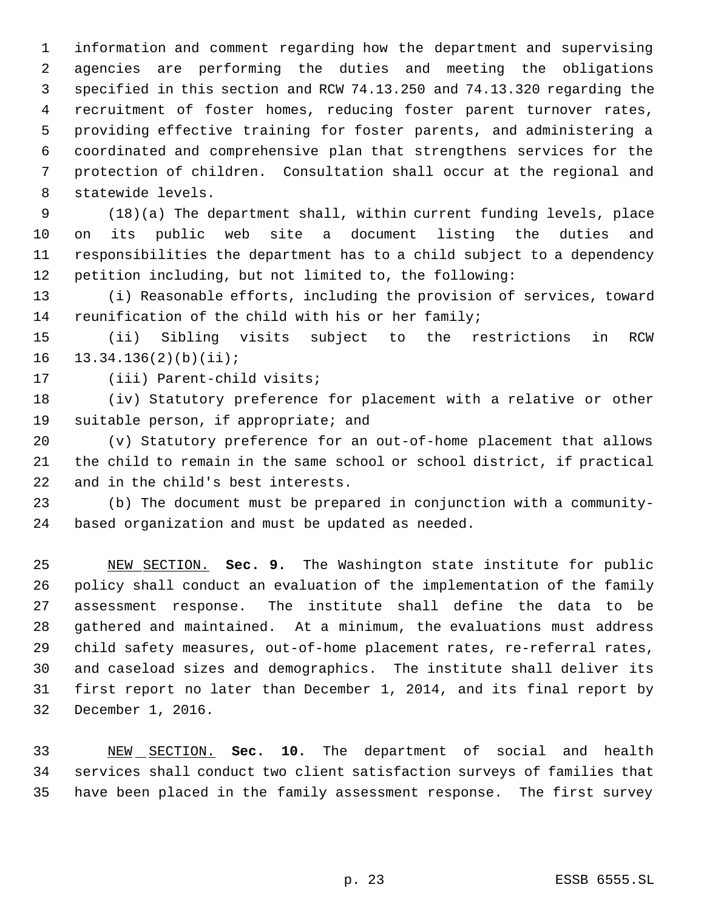information and comment regarding how the department and supervising agencies are performing the duties and meeting the obligations specified in this section and RCW 74.13.250 and 74.13.320 regarding the recruitment of foster homes, reducing foster parent turnover rates, providing effective training for foster parents, and administering a coordinated and comprehensive plan that strengthens services for the protection of children. Consultation shall occur at the regional and statewide levels.

 (18)(a) The department shall, within current funding levels, place on its public web site a document listing the duties and responsibilities the department has to a child subject to a dependency petition including, but not limited to, the following:

 (i) Reasonable efforts, including the provision of services, toward reunification of the child with his or her family;

 (ii) Sibling visits subject to the restrictions in RCW 13.34.136(2)(b)(ii);

(iii) Parent-child visits;

 (iv) Statutory preference for placement with a relative or other suitable person, if appropriate; and

 (v) Statutory preference for an out-of-home placement that allows the child to remain in the same school or school district, if practical and in the child's best interests.

 (b) The document must be prepared in conjunction with a community-based organization and must be updated as needed.

 NEW SECTION. **Sec. 9.** The Washington state institute for public policy shall conduct an evaluation of the implementation of the family assessment response. The institute shall define the data to be gathered and maintained. At a minimum, the evaluations must address child safety measures, out-of-home placement rates, re-referral rates, and caseload sizes and demographics. The institute shall deliver its first report no later than December 1, 2014, and its final report by December 1, 2016.

 NEW SECTION. **Sec. 10.** The department of social and health services shall conduct two client satisfaction surveys of families that have been placed in the family assessment response. The first survey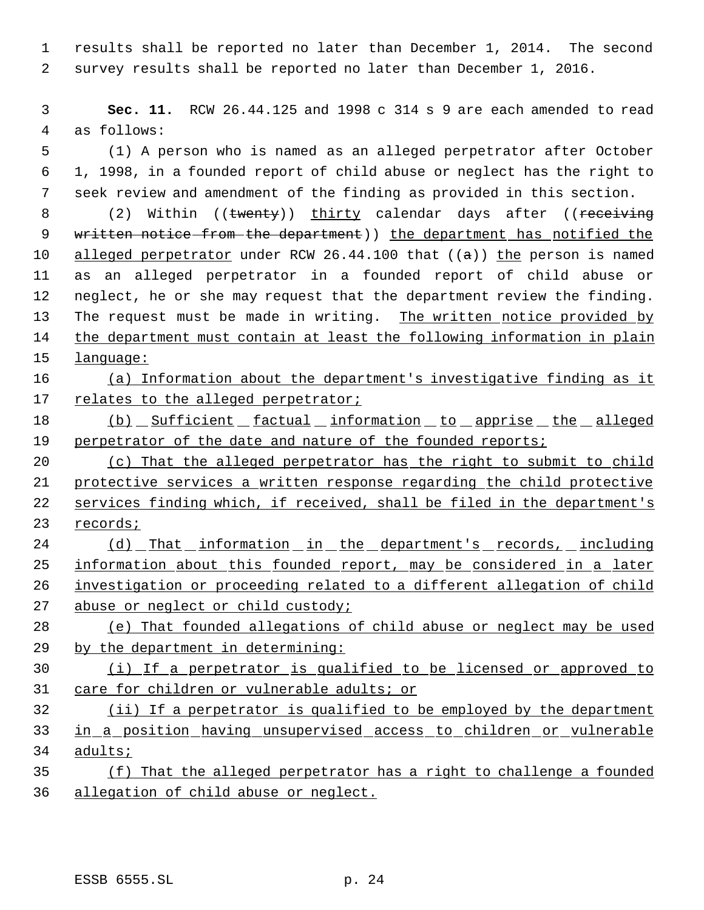results shall be reported no later than December 1, 2014. The second survey results shall be reported no later than December 1, 2016.

 **Sec. 11.** RCW 26.44.125 and 1998 c 314 s 9 are each amended to read as follows:

 (1) A person who is named as an alleged perpetrator after October 1, 1998, in a founded report of child abuse or neglect has the right to seek review and amendment of the finding as provided in this section.

8 (2) Within ((twenty)) thirty calendar days after ((receiving 9 written notice from the department) the department has notified the 10 alleged perpetrator under RCW 26.44.100 that  $((a))$  the person is named as an alleged perpetrator in a founded report of child abuse or neglect, he or she may request that the department review the finding. The request must be made in writing. The written notice provided by 14 the department must contain at least the following information in plain language:

# (a) Information about the department's investigative finding as it 17 relates to the alleged perpetrator;

18 (b) Sufficient factual information to apprise the alleged 19 perpetrator of the date and nature of the founded reports;

 (c) That the alleged perpetrator has the right to submit to child protective services a written response regarding the child protective services finding which, if received, shall be filed in the department's records;

 (d) That information in the department's records, including 25 information about this founded report, may be considered in a later investigation or proceeding related to a different allegation of child 27 abuse or neglect or child custody;

 (e) That founded allegations of child abuse or neglect may be used by the department in determining:

 (i) If a perpetrator is qualified to be licensed or approved to care for children or vulnerable adults; or

 (ii) If a perpetrator is qualified to be employed by the department in a position having unsupervised access to children or vulnerable 34 adults;

 (f) That the alleged perpetrator has a right to challenge a founded allegation of child abuse or neglect.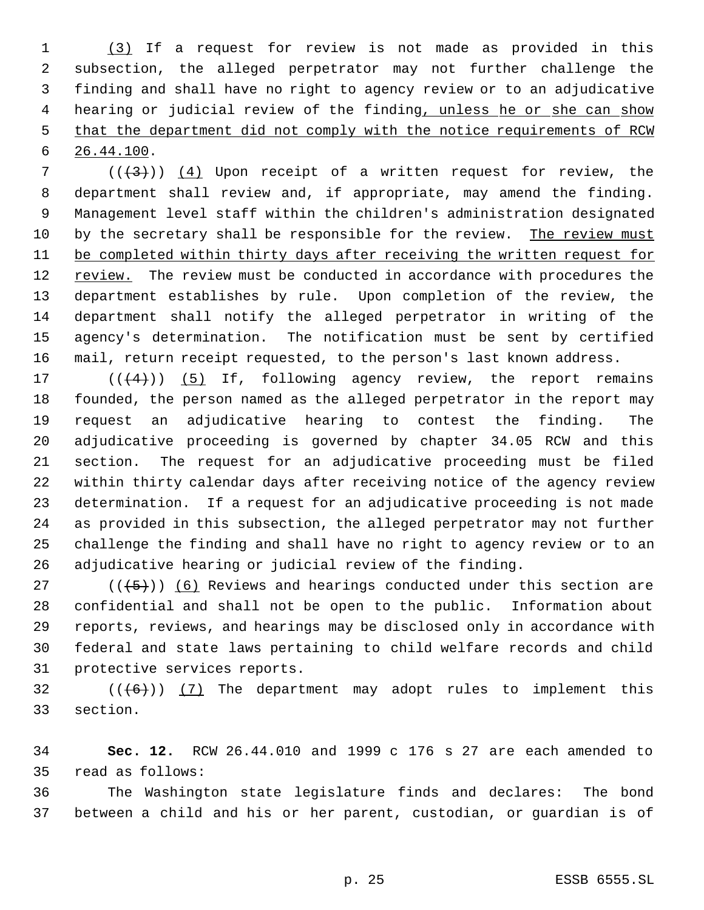(3) If a request for review is not made as provided in this subsection, the alleged perpetrator may not further challenge the finding and shall have no right to agency review or to an adjudicative 4 hearing or judicial review of the finding, unless he or she can show that the department did not comply with the notice requirements of RCW 26.44.100.

7 ( $(\langle 3 \rangle)$ ) (4) Upon receipt of a written request for review, the department shall review and, if appropriate, may amend the finding. Management level staff within the children's administration designated by the secretary shall be responsible for the review. The review must be completed within thirty days after receiving the written request for review. The review must be conducted in accordance with procedures the department establishes by rule. Upon completion of the review, the department shall notify the alleged perpetrator in writing of the agency's determination. The notification must be sent by certified mail, return receipt requested, to the person's last known address.

 $((+4))$   $(5)$  If, following agency review, the report remains founded, the person named as the alleged perpetrator in the report may request an adjudicative hearing to contest the finding. The adjudicative proceeding is governed by chapter 34.05 RCW and this section. The request for an adjudicative proceeding must be filed within thirty calendar days after receiving notice of the agency review determination. If a request for an adjudicative proceeding is not made as provided in this subsection, the alleged perpetrator may not further challenge the finding and shall have no right to agency review or to an adjudicative hearing or judicial review of the finding.

27 ( $(\overline{5})$ ) (6) Reviews and hearings conducted under this section are confidential and shall not be open to the public. Information about reports, reviews, and hearings may be disclosed only in accordance with federal and state laws pertaining to child welfare records and child protective services reports.

32  $((+6))$   $(7)$  The department may adopt rules to implement this section.

 **Sec. 12.** RCW 26.44.010 and 1999 c 176 s 27 are each amended to read as follows:

 The Washington state legislature finds and declares: The bond between a child and his or her parent, custodian, or guardian is of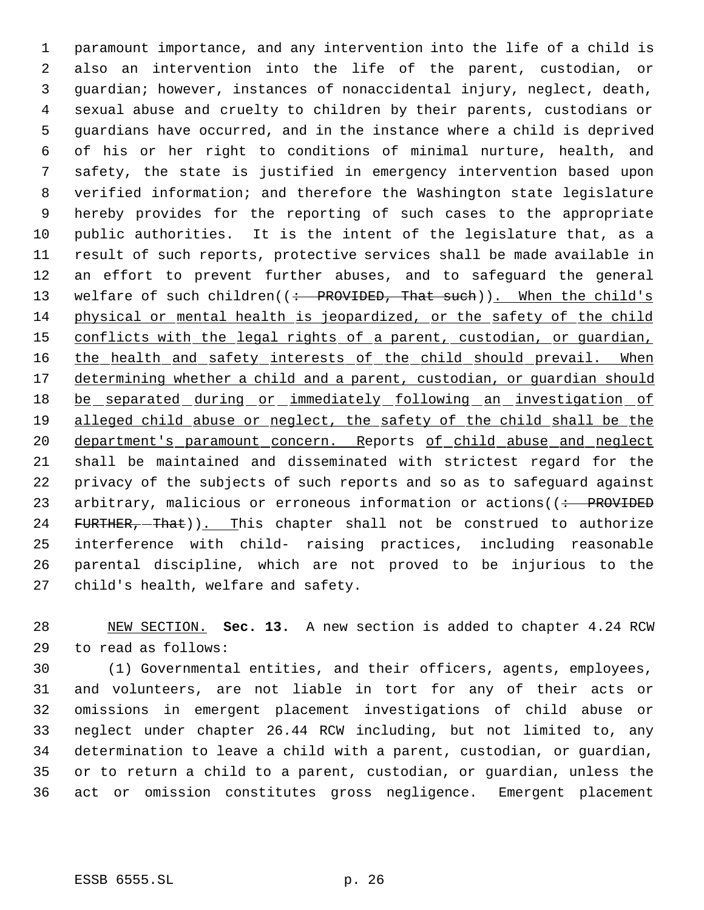paramount importance, and any intervention into the life of a child is also an intervention into the life of the parent, custodian, or guardian; however, instances of nonaccidental injury, neglect, death, sexual abuse and cruelty to children by their parents, custodians or guardians have occurred, and in the instance where a child is deprived of his or her right to conditions of minimal nurture, health, and safety, the state is justified in emergency intervention based upon verified information; and therefore the Washington state legislature hereby provides for the reporting of such cases to the appropriate public authorities. It is the intent of the legislature that, as a result of such reports, protective services shall be made available in an effort to prevent further abuses, and to safeguard the general 13 welfare of such children((: PROVIDED, That such)). When the child's physical or mental health is jeopardized, or the safety of the child 15 conflicts with the legal rights of a parent, custodian, or quardian, 16 the health and safety interests of the child should prevail. When 17 determining whether a child and a parent, custodian, or quardian should 18 be separated during or immediately following an investigation of 19 alleged child abuse or neglect, the safety of the child shall be the 20 department's paramount concern. Reports of child abuse and neglect shall be maintained and disseminated with strictest regard for the privacy of the subjects of such reports and so as to safeguard against 23 arbitrary, malicious or erroneous information or actions((: PROVIDED 24 FURTHER, That)). This chapter shall not be construed to authorize interference with child- raising practices, including reasonable parental discipline, which are not proved to be injurious to the child's health, welfare and safety.

 NEW SECTION. **Sec. 13.** A new section is added to chapter 4.24 RCW to read as follows:

 (1) Governmental entities, and their officers, agents, employees, and volunteers, are not liable in tort for any of their acts or omissions in emergent placement investigations of child abuse or neglect under chapter 26.44 RCW including, but not limited to, any determination to leave a child with a parent, custodian, or guardian, or to return a child to a parent, custodian, or guardian, unless the act or omission constitutes gross negligence. Emergent placement